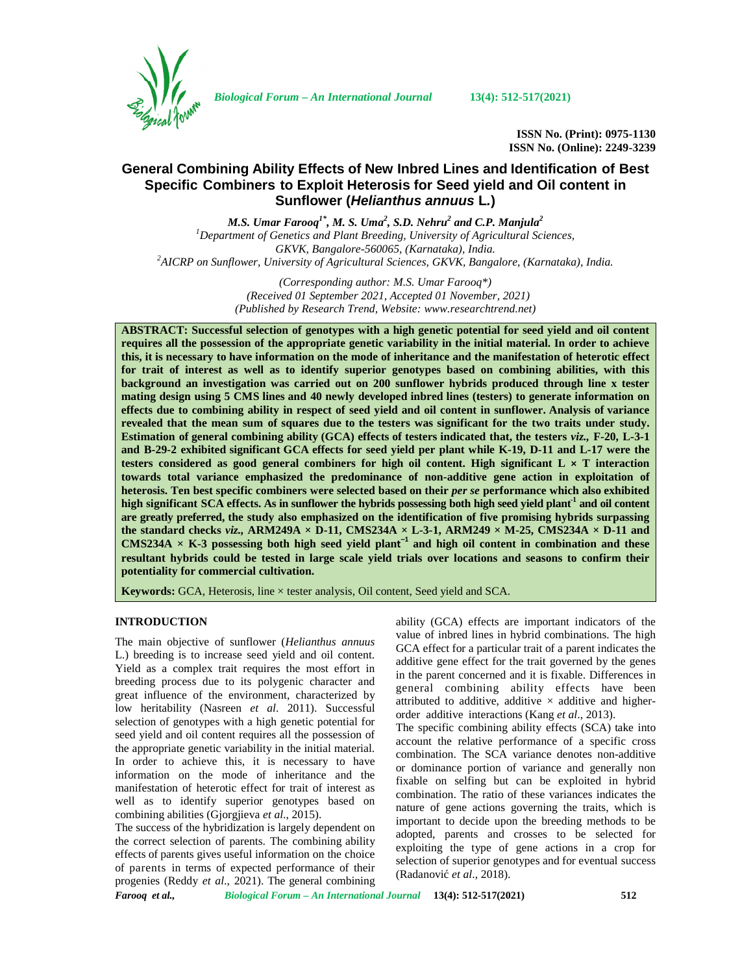

*Biological Forum – An International Journal* **13(4): 512-517(2021)**

**ISSN No. (Print): 0975-1130 ISSN No. (Online): 2249-3239**

# **General Combining Ability Effects of New Inbred Lines and Identification of Best Specific Combiners to Exploit Heterosis for Seed yield and Oil content in Sunflower (***Helianthus annuus* **L***.***)**

*M.S. Umar Farooq1\*, M. S. Uma<sup>2</sup> , S.D. Nehru<sup>2</sup> and C.P. Manjula<sup>2</sup> <sup>1</sup>Department of Genetics and Plant Breeding, University of Agricultural Sciences, GKVK, Bangalore-560065, (Karnataka), India. <sup>2</sup>AICRP on Sunflower, University of Agricultural Sciences, GKVK, Bangalore, (Karnataka), India.*

> *(Corresponding author: M.S. Umar Farooq\*) (Received 01 September 2021, Accepted 01 November, 2021) (Published by Research Trend, Website: [www.researchtrend.net\)](www.researchtrend.net)*

**ABSTRACT: Successful selection of genotypes with a high genetic potential for seed yield and oil content requires all the possession of the appropriate genetic variability in the initial material. In order to achieve this, it is necessary to have information on the mode of inheritance and the manifestation of heterotic effect for trait of interest as well as to identify superior genotypes based on combining abilities, with this background an investigation was carried out on 200 sunflower hybrids produced through line x tester mating design using 5 CMS lines and 40 newly developed inbred lines (testers) to generate information on effects due to combining ability in respect of seed yield and oil content in sunflower. Analysis of variance revealed that the mean sum of squares due to the testers was significant for the two traits under study. Estimation of general combining ability (GCA) effects of testers indicated that, the testers** *viz.,* **F-20, L-3-1 and B-29-2 exhibited significant GCA effects for seed yield per plant while K-19, D-11 and L-17 were the testers considered as good general combiners for high oil content. High significant L × T interaction towards total variance emphasized the predominance of non-additive gene action in exploitation of heterosis. Ten best specific combiners were selected based on their** *per se* **performance which also exhibited high significant SCA effects. As in sunflower the hybrids possessing both high seed yield plant-1 and oil content are greatly preferred, the study also emphasized on the identification of five promising hybrids surpassing the standard checks** *viz.,* **ARM249A × D-11, CMS234A × L-3-1, ARM249 × M-25, CMS234A × D-11 and CMS234A**  $\times$  **K-3** possessing both high seed yield plant<sup>-1</sup> and high oil content in combination and these **resultant hybrids could be tested in large scale yield trials over locations and seasons to confirm their potentiality for commercial cultivation.**

**Keywords:** GCA, Heterosis, line × tester analysis, Oil content, Seed yield and SCA.

# **INTRODUCTION**

The main objective of sunflower (*Helianthus annuus* L.) breeding is to increase seed yield and oil content. Yield as a complex trait requires the most effort in breeding process due to its polygenic character and great influence of the environment, characterized by low heritability (Nasreen *et al*. 2011). Successful selection of genotypes with a high genetic potential for seed yield and oil content requires all the possession of the appropriate genetic variability in the initial material. In order to achieve this, it is necessary to have information on the mode of inheritance and the manifestation of heterotic effect for trait of interest as well as to identify superior genotypes based on combining abilities (Gjorgjieva *et al*., 2015).

The success of the hybridization is largely dependent on the correct selection of parents. The combining ability effects of parents gives useful information on the choice of parents in terms of expected performance of their progenies (Reddy *et al*., 2021). The general combining ability (GCA) effects are important indicators of the value of inbred lines in hybrid combinations. The high GCA effect for a particular trait of a parent indicates the additive gene effect for the trait governed by the genes in the parent concerned and it is fixable. Differences in general combining ability effects have been attributed to additive, additive  $\times$  additive and higherorder additive interactions (Kang *et al*., 2013).

The specific combining ability effects (SCA) take into account the relative performance of a specific cross combination. The SCA variance denotes non-additive or dominance portion of variance and generally non fixable on selfing but can be exploited in hybrid combination. The ratio of these variances indicates the nature of gene actions governing the traits, which is important to decide upon the breeding methods to be adopted, parents and crosses to be selected for exploiting the type of gene actions in a crop for selection of superior genotypes and for eventual success (Radanović *et al*., 2018).

*Farooq et al., Biological Forum – An International Journal* **13(4): 512-517(2021) 512**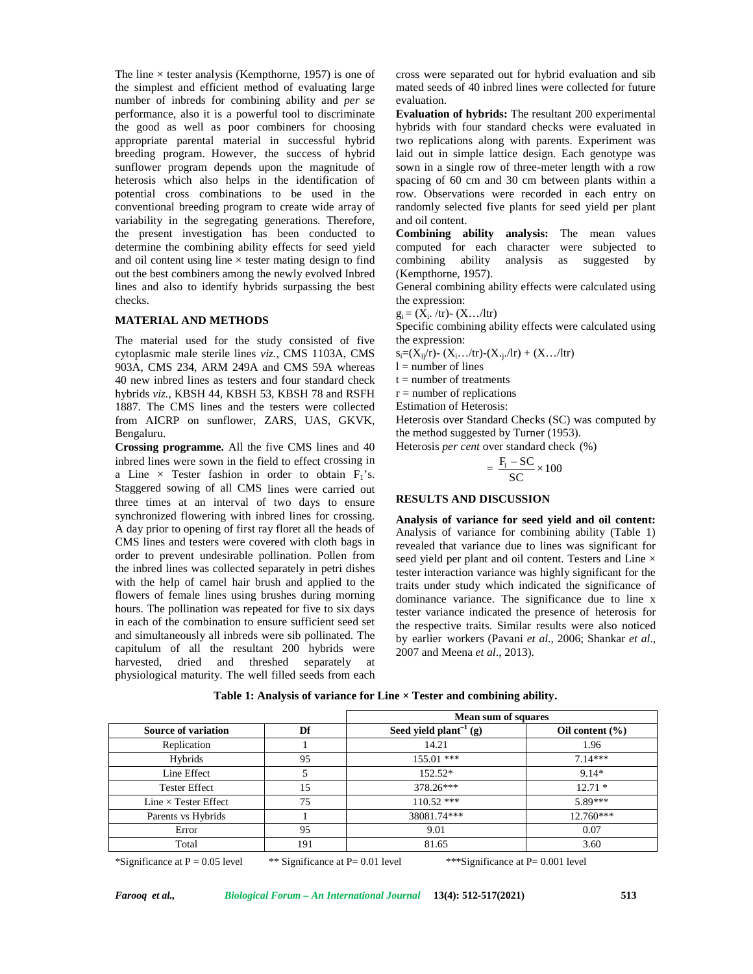The line  $\times$  tester analysis (Kempthorne, 1957) is one of the simplest and efficient method of evaluating large number of inbreds for combining ability and *per se* performance, also it is a powerful tool to discriminate the good as well as poor combiners for choosing appropriate parental material in successful hybrid breeding program. However, the success of hybrid sunflower program depends upon the magnitude of heterosis which also helps in the identification of potential cross combinations to be used in the conventional breeding program to create wide array of variability in the segregating generations. Therefore, the present investigation has been conducted to determine the combining ability effects for seed yield and oil content using line  $\times$  tester mating design to find combining ability out the best combiners among the newly evolved Inbred lines and also to identify hybrids surpassing the best checks.

#### **MATERIAL AND METHODS**

The material used for the study consisted of five cytoplasmic male sterile lines *viz.*, CMS 1103A, CMS 903A, CMS 234, ARM 249A and CMS 59A whereas 40 new inbred lines as testers and four standard check hybrids *viz.*, KBSH 44, KBSH 53, KBSH 78 and RSFH 1887. The CMS lines and the testers were collected from AICRP on sunflower, ZARS, UAS, GKVK, Bengaluru.

**Crossing programme.** All the five CMS lines and 40 inbred lines were sown in the field to effect crossing in a Line  $\times$  Tester fashion in order to obtain  $F_1$ 's. Staggered sowing of all CMS lines were carried out three times at an interval of two days to ensure synchronized flowering with inbred lines for crossing. A day prior to opening of first ray floret all the heads of CMS lines and testers were covered with cloth bags in order to prevent undesirable pollination. Pollen from the inbred lines was collected separately in petri dishes with the help of camel hair brush and applied to the flowers of female lines using brushes during morning hours. The pollination was repeated for five to six days in each of the combination to ensure sufficient seed set and simultaneously all inbreds were sib pollinated. The capitulum of all the resultant 200 hybrids were harvested, dried and threshed separately at physiological maturity. The well filled seeds from each cross were separated out for hybrid evaluation and sib mated seeds of 40 inbred lines were collected for future evaluation.

**Evaluation of hybrids:** The resultant 200 experimental hybrids with four standard checks were evaluated in two replications along with parents. Experiment was laid out in simple lattice design. Each genotype was sown in a single row of three-meter length with a row spacing of 60 cm and 30 cm between plants within a row. Observations were recorded in each entry on randomly selected five plants for seed yield per plant and oil content. w of three-meter length with a row<br>and 30 cm between plants within a<br>were recorded in each entry on<br>five plants for seed yield per plant<br>ty<br>**analysis:** The mean values<br>bechavior were subjected to<br>by analysis as suggested

**Combining ability analysis:** The mean values computed for each character were subjected to analysis as suggested by (Kempthorne, 1957).

General combining ability effects were calculated using the expression:

 $g_i = (X_i, /tr) - (X, . . / tr)$ 

Specific combining ability effects were calculated using the expression:

 $s_i=(X_{ii}/r)-(X_{i}.../tr)-(X_{i}./lr)+(X.../ltr)$ 

 $l =$  number of lines

 $t =$  number of treatments

 $r =$  number of replications

Estimation of Heterosis:

Heterosis over Standard Checks (SC) was computed by the method suggested by Turner (1953).

Heterosis *per cent* over standard check (%)

$$
=\frac{F_1 - SC}{SC} \times 100
$$

### **RESULTS AND DISCUSSION**

**Analysis of variance for seed yield and oil content:** Analysis of variance for combining ability (Table 1) revealed that variance due to lines was significant for seed yield per plant and oil content. Testers and Line  $\times$ tester interaction variance was highly significant for the traits under study which indicated the significance of dominance variance. The significance due to line x tester variance indicated the presence of heterosis for the respective traits. Similar results were also noticed by earlier workers (Pavani *et al*., 2006; Shankar *et al*., 2007 and Meena *et al*., 2013).

| Table 1: Analysis of variance for Line $\times$ Tester and combining ability. |  |
|-------------------------------------------------------------------------------|--|
|-------------------------------------------------------------------------------|--|

|                             |     | Mean sum of squares        |                     |
|-----------------------------|-----|----------------------------|---------------------|
| <b>Source of variation</b>  | Df  | Seed yield $plant^{-1}(g)$ | Oil content $(\% )$ |
| Replication                 |     | 14.21                      | 1.96                |
| Hybrids                     | 95  | $155.01$ ***               | $7.14***$           |
| Line Effect                 | 5   | $152.52*$                  | $9.14*$             |
| <b>Tester Effect</b>        | 15  | 378.26***                  | $12.71*$            |
| Line $\times$ Tester Effect | 75  | $110.52$ ***               | 5.89***             |
| Parents vs Hybrids          |     | 38081.74***                | $12.760***$         |
| Error                       | 95  | 9.01                       | 0.07                |
| Total                       | 191 | 81.65                      | 3.60                |

\*Significance at  $P = 0.05$  level \*\* Significance at  $P = 0.01$  level \*\*\*Significance at  $P = 0.001$  level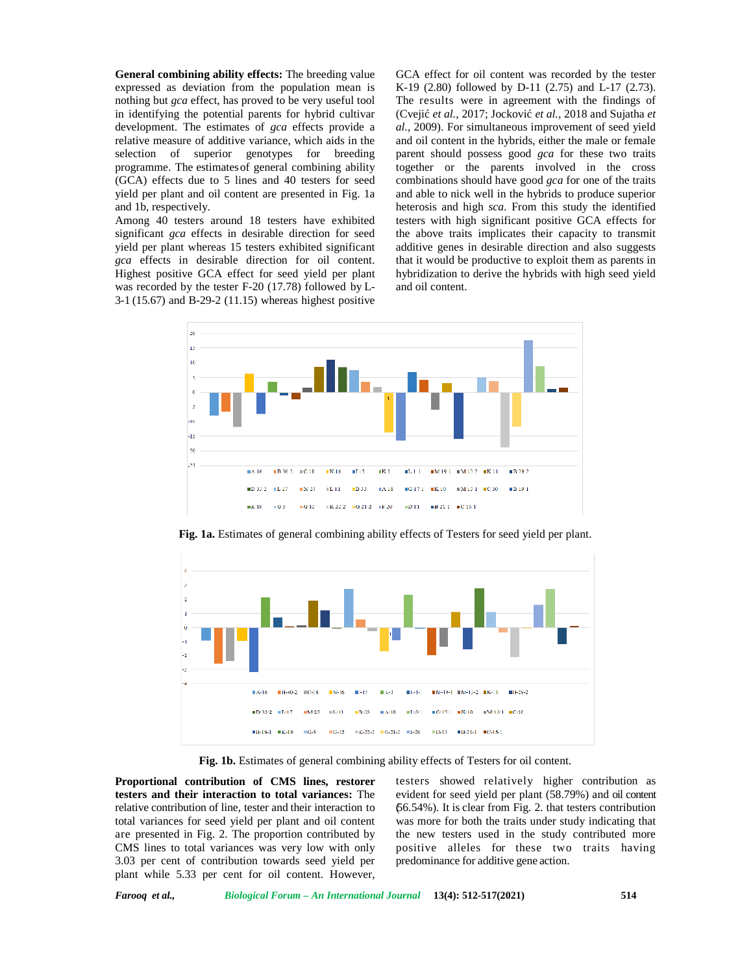**General combining ability effects:** The breeding value expressed as deviation from the population mean is nothing but *gca* effect, has proved to be very useful tool in identifying the potential parents for hybrid cultivar development. The estimates of *gca* effects provide a relative measure of additive variance, which aids in the selection of superior genotypes for breeding programme. The estimatesof general combining ability (GCA) effects due to 5 lines and 40 testers for seed yield per plant and oil content are presented in Fig. 1a and 1b, respectively.

Among 40 testers around 18 testers have exhibited significant *gca* effects in desirable direction for seed yield per plant whereas 15 testers exhibited significant *gca* effects in desirable direction for oil content. Highest positive GCA effect for seed yield per plant was recorded by the tester F-20 (17.78) followed by L- 3-1 (15.67) and B-29-2 (11.15) whereas highest positive

GCA effect for oil content was recorded by the tester K-19 (2.80) followed by D-11 (2.75) and L-17 (2.73). The results were in agreement with the findings of (Cvejić *et al.,* 2017; Jocković *et al.,* 2018 and Sujatha *et al.,* 2009). For simultaneous improvement of seed yield and oil content in the hybrids, either the male or female parent should possess good *gca* for these two traits together or the parents involved in the cross combinations should have good *gca* for one of the traits and able to nick well in the hybrids to produce superior heterosis and high *sca*. From this study the identified testers with high significant positive GCA effects for the above traits implicates their capacity to transmit additive genes in desirable direction and also suggests that it would be productive to exploit them as parents in hybridization to derive the hybrids with high seed yield and oil content.



**Fig. 1a.** Estimates of general combining ability effects of Testers for seed yield per plant.



**Fig. 1b.** Estimates of general combining ability effects of Testers for oil content.

**Proportional contribution of CMS lines, restorer testers and their interaction to total variances:** The relative contribution of line, tester and their interaction to total variances for seed yield per plant and oil content are presented in Fig. 2. The proportion contributed by CMS lines to total variances was very low with only 3.03 per cent of contribution towards seed yield per plant while 5.33 per cent for oil content. However,

testers showed relatively higher contribution as evident for seed yield per plant (58.79%) and oil content (56.54%). It is clear from Fig. 2. that testers contribution was more for both the traits under study indicating that the new testers used in the study contributed more positive alleles for these two traits having predominance for additive gene action.

*Farooq et al., Biological Forum – An International Journal* **13(4): 512-517(2021) 514**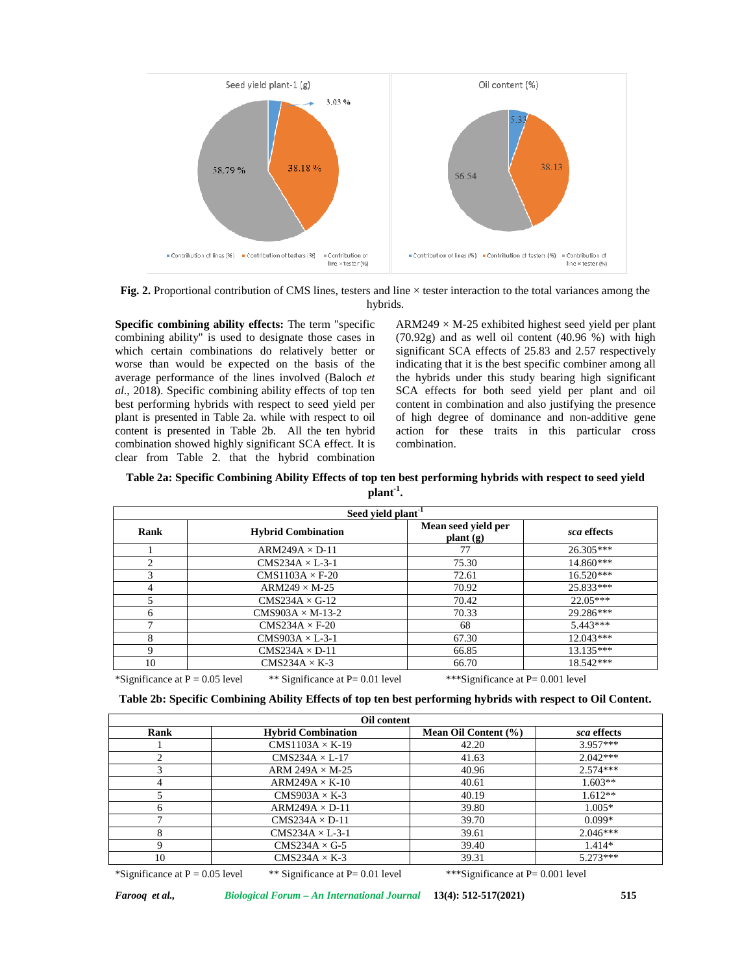

**Fig. 2.** Proportional contribution of CMS lines, testers and line  $\times$  tester interaction to the total variances among the hybrids.

**Specific combining ability effects:** The term "specific combining ability" is used to designate those cases in which certain combinations do relatively better or worse than would be expected on the basis of the average performance of the lines involved (Baloch *et al*., 2018). Specific combining ability effects of top ten best performing hybrids with respect to seed yield per plant is presented in Table 2a. while with respect to oil content is presented in Table 2b. All the ten hybrid combination showed highly significant SCA effect. It is clear from Table 2. that the hybrid combination  $ARM249 \times M-25$  exhibited highest seed yield per plant (70.92g) and as well oil content (40.96 %) with high significant SCA effects of 25.83 and 2.57 respectively indicating that it is the best specific combiner among all the hybrids under this study bearing high significant SCA effects for both seed yield per plant and oil content in combination and also justifying the presence of high degree of dominance and non-additive gene action for these traits in this particular cross combination.

**Table 2a: Specific Combining Ability Effects of top ten best performing hybrids with respect to seed yield plant-1 .**

| Seed yield plant <sup>-1</sup>    |                                     |                                      |             |  |  |  |
|-----------------------------------|-------------------------------------|--------------------------------------|-------------|--|--|--|
| Rank                              | <b>Hybrid Combination</b>           | Mean seed yield per<br>plant(g)      | sca effects |  |  |  |
|                                   | $ARM249A \times D-11$               | 77                                   | 26.305***   |  |  |  |
| $\overline{c}$                    | $CMS234A \times L-3-1$              | 75.30                                | $14.860***$ |  |  |  |
| 3                                 | $CMS1103A \times F-20$              | 72.61                                | $16.520***$ |  |  |  |
| 4                                 | $ARM249 \times M-25$                | 70.92                                | 25.833***   |  |  |  |
| 5                                 | $CMS234A \times G-12$               | 70.42                                | $22.05***$  |  |  |  |
| 6                                 | $CMS903A \times M-13-2$             | 70.33                                | 29.286***   |  |  |  |
| 7                                 | $CMS234A \times F-20$               | 68                                   | $5.443***$  |  |  |  |
| 8                                 | $CMS903A \times L-3-1$              | 67.30                                | $12.043***$ |  |  |  |
| 9                                 | $CMS234A \times D-11$               | 66.85                                | $13.135***$ |  |  |  |
| 10                                | $CMS234A \times K-3$                | 66.70                                | 18.542***   |  |  |  |
| *Significance at $P = 0.05$ level | ** Significance at $P = 0.01$ level | ***Significance at $P = 0.001$ level |             |  |  |  |

**Table 2b: Specific Combining Ability Effects of top ten best performing hybrids with respect to Oil Content.**

|              | Oil content               |                      |             |  |  |  |  |
|--------------|---------------------------|----------------------|-------------|--|--|--|--|
| Rank         | <b>Hybrid Combination</b> | Mean Oil Content (%) | sca effects |  |  |  |  |
|              | $CMS1103A \times K-19$    | 42.20                | $3.957***$  |  |  |  |  |
| ◠            | $CMS234A \times L-17$     | 41.63                | $2.042***$  |  |  |  |  |
|              | ARM 249A $\times$ M-25    | 40.96                | $2.574***$  |  |  |  |  |
|              | $ARM249A \times K-10$     | 40.61                | $1.603**$   |  |  |  |  |
|              | $CMS903A \times K-3$      | 40.19                | $1.612**$   |  |  |  |  |
| <sub>6</sub> | $ARM249A \times D-11$     | 39.80                | $1.005*$    |  |  |  |  |
|              | $CMS234A \times D-11$     | 39.70                | $0.099*$    |  |  |  |  |
| 8            | $CMS234A \times L-3-1$    | 39.61                | $2.046***$  |  |  |  |  |
| 9            | $CMS234A \times G-5$      | 39.40                | $1.414*$    |  |  |  |  |
| 10           | $CMS234A \times K-3$      | 39.31                | $5.273***$  |  |  |  |  |

\*Significance at  $P = 0.05$  level \*\* Significance at  $P = 0.01$  level \*\*\* Significance at  $P = 0.001$  level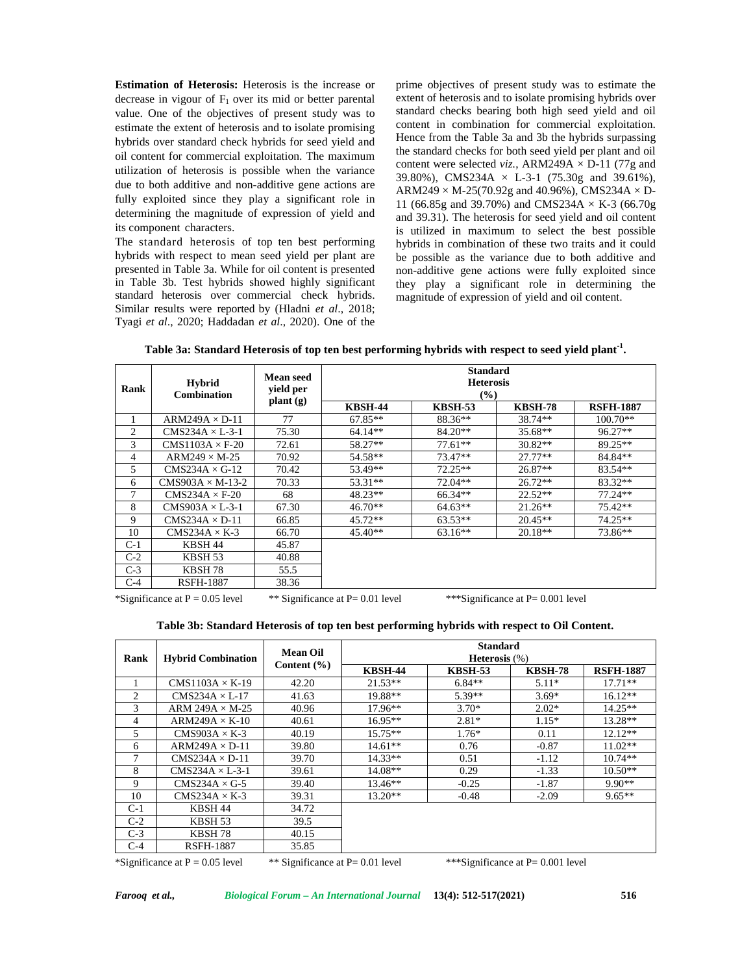**Estimation of Heterosis:** Heterosis is the increase or decrease in vigour of  $F_1$  over its mid or better parental value. One of the objectives of present study was to estimate the extent of heterosis and to isolate promising hybrids over standard check hybrids for seed yield and oil content for commercial exploitation. The maximum utilization of heterosis is possible when the variance due to both additive and non-additive gene actions are fully exploited since they play a significant role in determining the magnitude of expression of yield and its component characters.

The standard heterosis of top ten best performing hybrids with respect to mean seed yield per plant are presented in Table 3a. While for oil content is presented in Table 3b. Test hybrids showed highly significant standard heterosis over commercial check hybrids. Similar results were reported by (Hladni *et al*., 2018; Tyagi *et al*., 2020; Haddadan *et al*., 2020). One of the prime objectives of present study was to estimate the extent of heterosis and to isolate promising hybrids over standard checks bearing both high seed yield and oil content in combination for commercial exploitation. Hence from the Table 3a and 3b the hybrids surpassing the standard checks for both seed yield per plant and oil content were selected *viz.*, ARM249A  $\times$  D-11 (77g and 39.80%), CMS234A  $\times$  L-3-1 (75.30g and 39.61%),  $ARM249 \times M-25(70.92g$  and 40.96%), CMS234A  $\times$  D-11 (66.85g and 39.70%) and CMS234A  $\times$  K-3 (66.70g and 39.31). The heterosis for seed yield and oil content is utilized in maximum to select the best possible hybrids in combination of these two traits and it could be possible as the variance due to both additive and non-additive gene actions were fully exploited since they play a significant role in determining the magnitude of expression of yield and oil content.

**Table 3a: Standard Heterosis of top ten best performing hybrids with respect to seed yield plant-1 .**

| Rank  | <b>Hybrid</b><br><b>Combination</b> | <b>Mean seed</b><br>yield per           |                |                | <b>Standard</b><br><b>Heterosis</b><br>$(\%)$ |                  |  |  |
|-------|-------------------------------------|-----------------------------------------|----------------|----------------|-----------------------------------------------|------------------|--|--|
|       |                                     | $\mathbf{plant}\left(\mathbf{g}\right)$ | <b>KBSH-44</b> | <b>KBSH-53</b> | <b>KBSH-78</b>                                | <b>RSFH-1887</b> |  |  |
|       | $ARM249A \times D-11$               | 77                                      | $67.85**$      | 88.36**        | 38.74**                                       | $100.70**$       |  |  |
| 2     | $CMS234A \times L-3-1$              | 75.30                                   | $64.14**$      | $84.20**$      | 35.68**                                       | 96.27**          |  |  |
| 3     | $CMS1103A \times F-20$              | 72.61                                   | 58.27**        | $77.61**$      | $30.82**$                                     | 89.25**          |  |  |
| 4     | $ARM249 \times M-25$                | 70.92                                   | 54.58**        | $73.47**$      | $27.77**$                                     | 84.84**          |  |  |
| 5     | $CMS234A \times G-12$               | 70.42                                   | 53.49**        | $72.25**$      | 26.87**                                       | $83.54**$        |  |  |
| 6     | $CMS903A \times M-13-2$             | 70.33                                   | $53.31**$      | $72.04**$      | $26.72**$                                     | $83.32**$        |  |  |
| 7     | $CMS234A \times F-20$               | 68                                      | $48.23**$      | 66.34**        | $22.52**$                                     | $77.24**$        |  |  |
| 8     | $CMS903A \times L-3-1$              | 67.30                                   | $46.70**$      | $64.63**$      | $21.26**$                                     | $75.42**$        |  |  |
| 9     | $CMS234A \times D-11$               | 66.85                                   | $45.72**$      | $63.53**$      | $20.45**$                                     | $74.25**$        |  |  |
| 10    | $CMS234A \times K-3$                | 66.70                                   | $45.40**$      | $63.16**$      | $20.18**$                                     | 73.86**          |  |  |
| $C-1$ | KBSH 44                             | 45.87                                   |                |                |                                               |                  |  |  |
| $C-2$ | KBSH 53                             | 40.88                                   |                |                |                                               |                  |  |  |
| $C-3$ | KBSH 78                             | 55.5                                    |                |                |                                               |                  |  |  |
| $C-4$ | RSFH-1887                           | 38.36                                   |                |                |                                               |                  |  |  |

\*Significance at  $P = 0.05$  level \*\* Significance at  $P = 0.01$  level \*\*\*Significance at  $P = 0.001$  level

| Table 3b: Standard Heterosis of top ten best performing hybrids with respect to Oil Content. |  |  |  |  |  |  |  |  |  |  |  |  |
|----------------------------------------------------------------------------------------------|--|--|--|--|--|--|--|--|--|--|--|--|
|----------------------------------------------------------------------------------------------|--|--|--|--|--|--|--|--|--|--|--|--|

| Rank  | <b>Hybrid Combination</b> | <b>Mean Oil</b><br>Content $(\% )$ | <b>Standard</b><br><b>Heterosis</b> $(\%)$ |                |                |                  |  |
|-------|---------------------------|------------------------------------|--------------------------------------------|----------------|----------------|------------------|--|
|       |                           |                                    | <b>KBSH-44</b>                             | <b>KBSH-53</b> | <b>KBSH-78</b> | <b>RSFH-1887</b> |  |
|       | $CMS1103A \times K-19$    | 42.20                              | $21.53**$                                  | $6.84**$       | $5.11*$        | $17.71**$        |  |
| 2     | $CMS234A \times L-17$     | 41.63                              | 19.88**                                    | $5.39**$       | $3.69*$        | $16.12**$        |  |
| 3     | ARM 249A $\times$ M-25    | 40.96                              | $17.96**$                                  | $3.70*$        | $2.02*$        | $14.25**$        |  |
| 4     | $ARM249A \times K-10$     | 40.61                              | $16.95**$                                  | $2.81*$        | $1.15*$        | $13.28**$        |  |
| 5     | $CMS903A \times K-3$      | 40.19                              | $15.75**$                                  | $1.76*$        | 0.11           | $12.12**$        |  |
| 6     | $ARM249A \times D-11$     | 39.80                              | $14.61**$                                  | 0.76           | $-0.87$        | $11.02**$        |  |
| 7     | $CMS234A \times D-11$     | 39.70                              | $14.33**$                                  | 0.51           | $-1.12$        | $10.74**$        |  |
| 8     | $CMS234A \times L-3-1$    | 39.61                              | $14.08**$                                  | 0.29           | $-1.33$        | $10.50**$        |  |
| 9     | $CMS234A \times G-5$      | 39.40                              | $13.46**$                                  | $-0.25$        | $-1.87$        | $9.90**$         |  |
| 10    | $CMS234A \times K-3$      | 39.31                              | $13.20**$                                  | $-0.48$        | $-2.09$        | $9.65**$         |  |
| $C-1$ | KBSH 44                   | 34.72                              |                                            |                |                |                  |  |
| $C-2$ | KBSH 53                   | 39.5                               |                                            |                |                |                  |  |
| $C-3$ | KBSH 78                   | 40.15                              |                                            |                |                |                  |  |
| $C-4$ | <b>RSFH-1887</b>          | 35.85                              |                                            |                |                |                  |  |

\*Significance at  $P = 0.05$  level \*\* Significance at  $P = 0.01$  level \*\*\*Significance at  $P = 0.001$  level